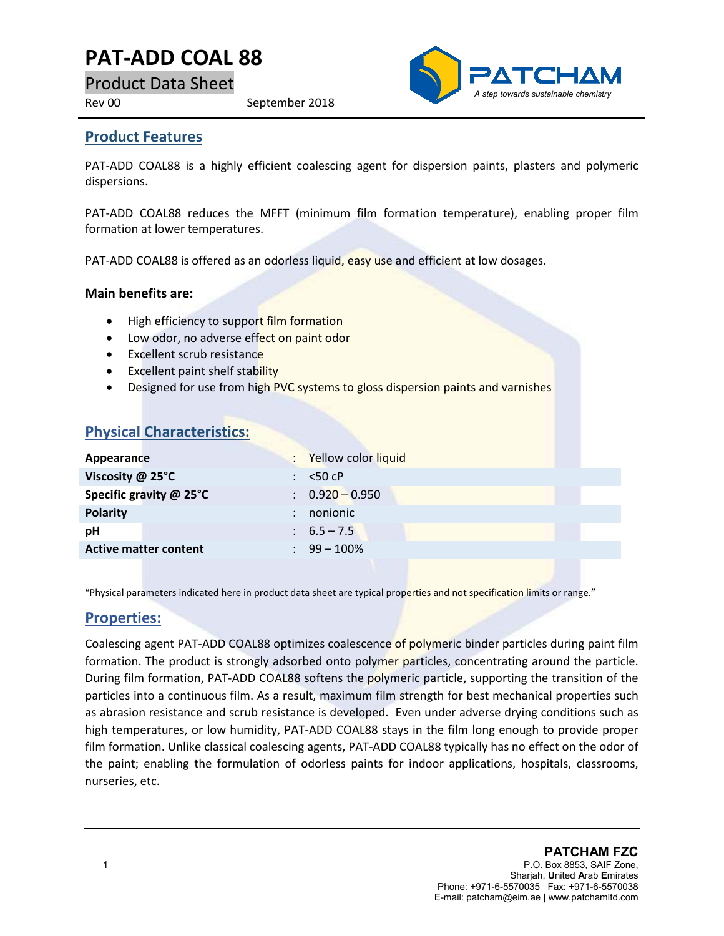# **PAT-ADD COAL 88**

Product Data Sheet

Rev 00 September 2018



#### **Product Features**

PAT-ADD COAL88 is a highly efficient coalescing agent for dispersion paints, plasters and polymeric dispersions.

PAT-ADD COAL88 reduces the MFFT (minimum film formation temperature), enabling proper film formation at lower temperatures.

PAT-ADD COAL88 is offered as an odorless liquid, easy use and efficient at low dosages.

#### **Main benefits are:**

- High efficiency to support film formation
- Low odor, no adverse effect on paint odor
- Excellent scrub resistance
- Excellent paint shelf stability
- **•** Designed for use from high PVC systems to gloss dispersion paints and varnishes

### **Physical Characteristics:**

| Appearance                   | : Yellow color liquid      |
|------------------------------|----------------------------|
| Viscosity @ 25°C             | $: <$ 50 cP                |
| Specific gravity @ 25°C      | $\therefore$ 0.920 - 0.950 |
| <b>Polarity</b>              | nonionic                   |
| pH                           | $\therefore$ 6.5 – 7.5     |
| <b>Active matter content</b> | $: 99 - 100\%$             |
|                              |                            |

"Physical parameters indicated here in product data sheet are typical properties and not specification limits or range."

### **Properties:**

Coalescing agent PAT-ADD COAL88 optimizes coalescence of polymeric binder particles during paint film formation. The product is strongly adsorbed onto polymer particles, concentrating around the particle. During film formation, PAT-ADD COAL88 softens the polymeric particle, supporting the transition of the particles into a continuous film. As a result, maximum film strength for best mechanical properties such as abrasion resistance and scrub resistance is developed. Even under adverse drying conditions such as high temperatures, or low humidity, PAT-ADD COAL88 stays in the film long enough to provide proper film formation. Unlike classical coalescing agents, PAT-ADD COAL88 typically has no effect on the odor of the paint; enabling the formulation of odorless paints for indoor applications, hospitals, classrooms, nurseries, etc.